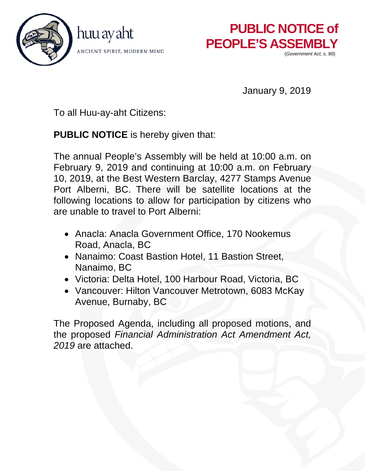



January 9, 2019

To all Huu-ay-aht Citizens:

**PUBLIC NOTICE** is hereby given that:

The annual People's Assembly will be held at 10:00 a.m. on February 9, 2019 and continuing at 10:00 a.m. on February 10, 2019, at the Best Western Barclay, 4277 Stamps Avenue Port Alberni, BC. There will be satellite locations at the following locations to allow for participation by citizens who are unable to travel to Port Alberni:

- Anacla: Anacla Government Office, 170 Nookemus Road, Anacla, BC
- Nanaimo: Coast Bastion Hotel, 11 Bastion Street, Nanaimo, BC
- Victoria: Delta Hotel, 100 Harbour Road, Victoria, BC
- Vancouver: Hilton Vancouver Metrotown, 6083 McKay Avenue, Burnaby, BC

The Proposed Agenda, including all proposed motions, and the proposed *Financial Administration Act Amendment Act, 2019* are attached.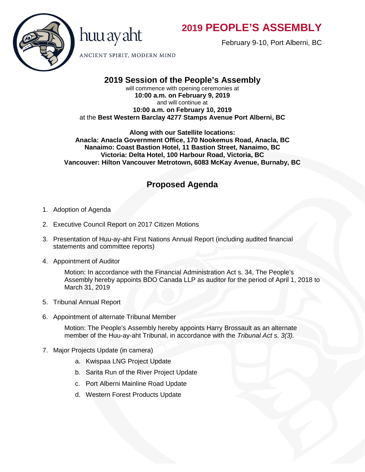

February 9-10, Port Alberni, BC



ANCIENT SPIRIT, MODERN MIND

huu ay aht

## **2019 Session of the People's Assembly**

will commence with opening ceremonies at **10:00 a.m. on February 9, 2019** and will continue at **10:00 a.m. on February 10, 2019** at the **Best Western Barclay 4277 Stamps Avenue Port Alberni, BC** 

**Along with our Satellite locations: Anacla: Anacla Government Office, 170 Nookemus Road, Anacla, BC Nanaimo: Coast Bastion Hotel, 11 Bastion Street, Nanaimo, BC Victoria: Delta Hotel, 100 Harbour Road, Victoria, BC Vancouver: Hilton Vancouver Metrotown, 6083 McKay Avenue, Burnaby, BC** 

### **Proposed Agenda**

- 1. Adoption of Agenda
- 2. Executive Council Report on 2017 Citizen Motions
- 3. Presentation of Huu-ay-aht First Nations Annual Report (including audited financial statements and committee reports)
- 4. Appointment of Auditor

Motion: In accordance with the Financial Administration Act s. 34, The People's Assembly hereby appoints BDO Canada LLP as auditor for the period of April 1, 2018 to March 31, 2019

- 5. Tribunal Annual Report
- 6. Appointment of alternate Tribunal Member

Motion: The People's Assembly hereby appoints Harry Brossault as an alternate member of the Huu-ay-aht Tribunal, in accordance with the *Tribunal Act s. 3(3).*

- 7. Major Projects Update (in camera)
	- a. Kwispaa LNG Project Update
	- b. Sarita Run of the River Project Update
	- c. Port Alberni Mainline Road Update
	- d. Western Forest Products Update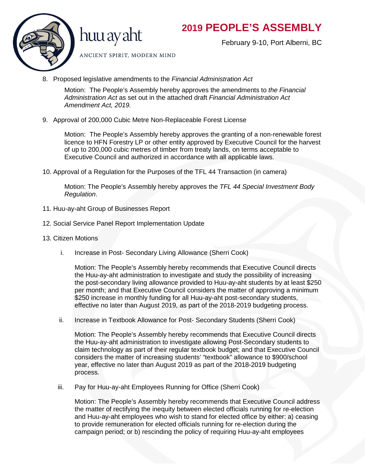

February 9-10, Port Alberni, BC



ANCIENT SPIRIT, MODERN MIND

8. Proposed legislative amendments to the *Financial Administration Act*

Motion: The People's Assembly hereby approves the amendments to *the Financial Administration Act* as set out in the attached draft *Financial Administration Act Amendment Act, 2019.*

9. Approval of 200,000 Cubic Metre Non-Replaceable Forest License

Motion: The People's Assembly hereby approves the granting of a non-renewable forest licence to HFN Forestry LP or other entity approved by Executive Council for the harvest of up to 200,000 cubic metres of timber from treaty lands, on terms acceptable to Executive Council and authorized in accordance with all applicable laws.

10. Approval of a Regulation for the Purposes of the TFL 44 Transaction (in camera)

Motion: The People's Assembly hereby approves the *TFL 44 Special Investment Body Regulation*.

- 11. Huu-ay-aht Group of Businesses Report
- 12. Social Service Panel Report Implementation Update
- 13. Citizen Motions
	- i. Increase in Post- Secondary Living Allowance (Sherri Cook)

Motion: The People's Assembly hereby recommends that Executive Council directs the Huu-ay-aht administration to investigate and study the possibility of increasing the post-secondary living allowance provided to Huu-ay-aht students by at least \$250 per month; and that Executive Council considers the matter of approving a minimum \$250 increase in monthly funding for all Huu-ay-aht post-secondary students, effective no later than August 2019, as part of the 2018-2019 budgeting process.

ii. Increase in Textbook Allowance for Post- Secondary Students (Sherri Cook)

Motion: The People's Assembly hereby recommends that Executive Council directs the Huu-ay-aht administration to investigate allowing Post-Secondary students to claim technology as part of their regular textbook budget; and that Executive Council considers the matter of increasing students' "textbook" allowance to \$900/school year, effective no later than August 2019 as part of the 2018-2019 budgeting process.

iii. Pay for Huu-ay-aht Employees Running for Office (Sherri Cook)

Motion: The People's Assembly hereby recommends that Executive Council address the matter of rectifying the inequity between elected officials running for re-election and Huu-ay-aht employees who wish to stand for elected office by either: a) ceasing to provide remuneration for elected officials running for re-election during the campaign period; or b) rescinding the policy of requiring Huu-ay-aht employees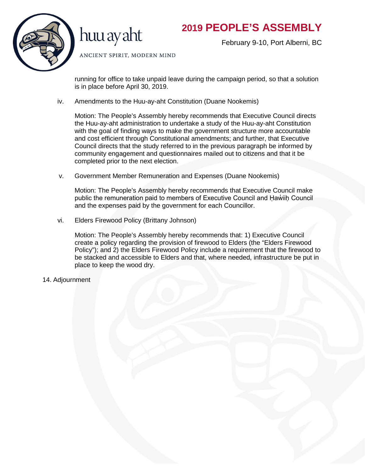

huu ay aht

February 9-10, Port Alberni, BC

ANCIENT SPIRIT, MODERN MIND

running for office to take unpaid leave during the campaign period, so that a solution is in place before April 30, 2019.

iv. Amendments to the Huu-ay-aht Constitution (Duane Nookemis)

Motion: The People's Assembly hereby recommends that Executive Council directs the Huu-ay-aht administration to undertake a study of the Huu-ay-aht Constitution with the goal of finding ways to make the government structure more accountable and cost efficient through Constitutional amendments; and further, that Executive Council directs that the study referred to in the previous paragraph be informed by community engagement and questionnaires mailed out to citizens and that it be completed prior to the next election.

v. Government Member Remuneration and Expenses (Duane Nookemis)

Motion: The People's Assembly hereby recommends that Executive Council make public the remuneration paid to members of Executive Council and Haw' iih Council and the expenses paid by the government for each Councillor.

vi. Elders Firewood Policy (Brittany Johnson)

Motion: The People's Assembly hereby recommends that: 1) Executive Council create a policy regarding the provision of firewood to Elders (the "Elders Firewood Policy"); and 2) the Elders Firewood Policy include a requirement that the firewood to be stacked and accessible to Elders and that, where needed, infrastructure be put in place to keep the wood dry.

14. Adjournment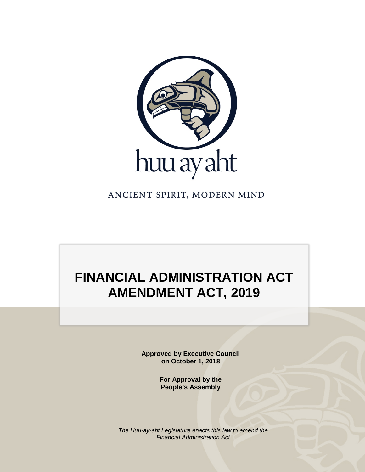

ANCIENT SPIRIT, MODERN MIND

# **FINANCIAL ADMINISTRATION ACT AMENDMENT ACT, 2019**

**Approved by Executive Council on October 1, 2018**

> **For Approval by the People's Assembly**

*The Huu-ay-aht Legislature enacts this law to amend the Financial Administration Act*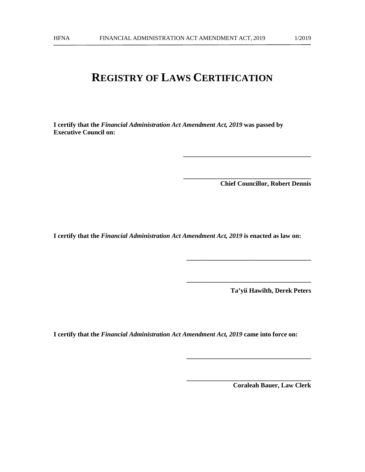## **REGISTRY OF LAWS CERTIFICATION**

**I certify that the** *Financial Administration Act Amendment Act, 2019* **was passed by Executive Council on:**

**Chief Councillor, Robert Dennis**

**\_\_\_\_\_\_\_\_\_\_\_\_\_\_\_\_\_\_\_\_\_\_\_\_\_\_\_\_\_\_\_\_\_\_\_\_\_\_\_**

**\_\_\_\_\_\_\_\_\_\_\_\_\_\_\_\_\_\_\_\_\_\_\_\_\_\_\_\_\_\_\_\_\_\_\_\_\_\_\_**

**\_\_\_\_\_\_\_\_\_\_\_\_\_\_\_\_\_\_\_\_\_\_\_\_\_\_\_\_\_\_\_\_\_\_\_\_\_\_**

**\_\_\_\_\_\_\_\_\_\_\_\_\_\_\_\_\_\_\_\_\_\_\_\_\_\_\_\_\_\_\_\_\_\_\_\_\_\_**

**\_\_\_\_\_\_\_\_\_\_\_\_\_\_\_\_\_\_\_\_\_\_\_\_\_\_\_\_\_\_\_\_\_\_\_\_\_\_**

**\_\_\_\_\_\_\_\_\_\_\_\_\_\_\_\_\_\_\_\_\_\_\_\_\_\_\_\_\_\_\_\_\_\_\_\_\_\_**

**I certify that the** *Financial Administration Act Amendment Act, 2019* **is enacted as law on:**

**Ta'yii Hawilth, Derek Peters**

**I certify that the** *Financial Administration Act Amendment Act, 2019* **came into force on:** 

**Coraleah Bauer, Law Clerk**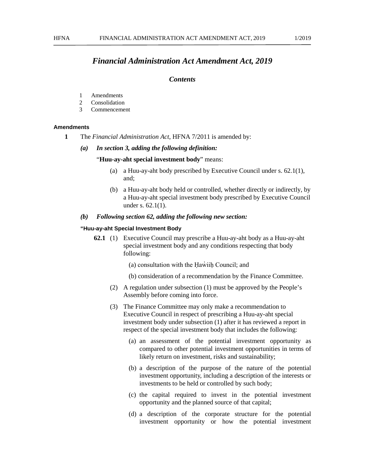#### *Financial Administration Act Amendment Act, 2019*

#### *Contents*

- 1 Amendments
- 2 Consolidation
- 3 Commencement

#### **Amendments**

- **1** The *Financial Administration Act*, HFNA 7/2011 is amended by:
	- *(a) In section 3, adding the following definition:*

#### "**Huu-ay-aht special investment body**" means:

- (a) a Huu-ay-aht body prescribed by Executive Council under s. 62.1(1), and;
- (b) a Huu-ay-aht body held or controlled, whether directly or indirectly, by a Huu-ay-aht special investment body prescribed by Executive Council under s. 62.1(1).

#### *(b) Following section 62, adding the following new section:*

#### **"Huu-ay-aht Special Investment Body**

- **62.1** (1) Executive Council may prescribe a Huu-ay-aht body as a Huu-ay-aht special investment body and any conditions respecting that body following:
	- $(a)$  consultation with the Haw $\ddot$  iih Council; and
	- (b) consideration of a recommendation by the Finance Committee.
	- (2) A regulation under subsection (1) must be approved by the People's Assembly before coming into force.
	- (3) The Finance Committee may only make a recommendation to Executive Council in respect of prescribing a Huu-ay-aht special investment body under subsection (1) after it has reviewed a report in respect of the special investment body that includes the following:
		- (a) an assessment of the potential investment opportunity as compared to other potential investment opportunities in terms of likely return on investment, risks and sustainability;
		- (b) a description of the purpose of the nature of the potential investment opportunity, including a description of the interests or investments to be held or controlled by such body;
		- (c) the capital required to invest in the potential investment opportunity and the planned source of that capital;
		- (d) a description of the corporate structure for the potential investment opportunity or how the potential investment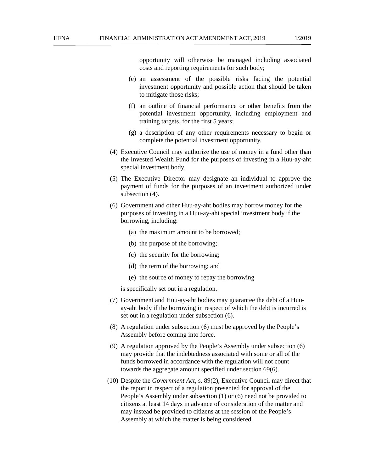opportunity will otherwise be managed including associated costs and reporting requirements for such body;

- (e) an assessment of the possible risks facing the potential investment opportunity and possible action that should be taken to mitigate those risks;
- (f) an outline of financial performance or other benefits from the potential investment opportunity, including employment and training targets, for the first 5 years;
- (g) a description of any other requirements necessary to begin or complete the potential investment opportunity.
- (4) Executive Council may authorize the use of money in a fund other than the Invested Wealth Fund for the purposes of investing in a Huu-ay-aht special investment body.
- (5) The Executive Director may designate an individual to approve the payment of funds for the purposes of an investment authorized under subsection (4).
- (6) Government and other Huu-ay-aht bodies may borrow money for the purposes of investing in a Huu-ay-aht special investment body if the borrowing, including:
	- (a) the maximum amount to be borrowed;
	- (b) the purpose of the borrowing;
	- (c) the security for the borrowing;
	- (d) the term of the borrowing; and
	- (e) the source of money to repay the borrowing

is specifically set out in a regulation.

- (7) Government and Huu-ay-aht bodies may guarantee the debt of a Huuay-aht body if the borrowing in respect of which the debt is incurred is set out in a regulation under subsection (6).
- (8) A regulation under subsection (6) must be approved by the People's Assembly before coming into force.
- (9) A regulation approved by the People's Assembly under subsection (6) may provide that the indebtedness associated with some or all of the funds borrowed in accordance with the regulation will not count towards the aggregate amount specified under section 69(6).
- (10) Despite the *Government Act*, s. 89(2), Executive Council may direct that the report in respect of a regulation presented for approval of the People's Assembly under subsection (1) or (6) need not be provided to citizens at least 14 days in advance of consideration of the matter and may instead be provided to citizens at the session of the People's Assembly at which the matter is being considered.